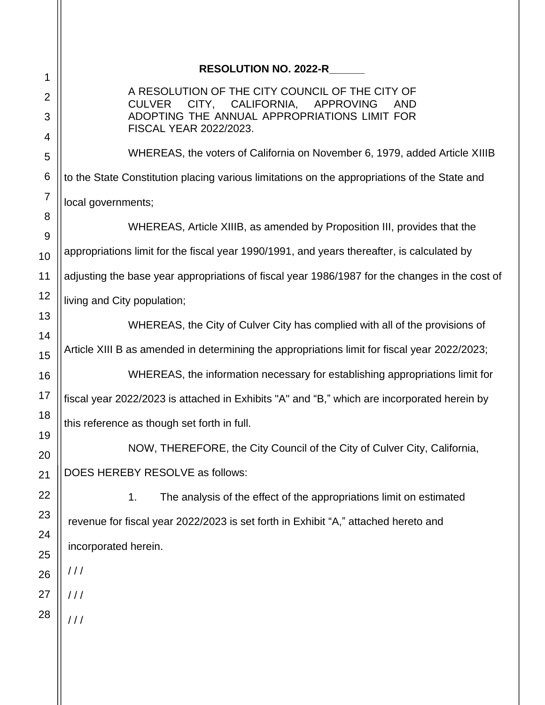#### **RESOLUTION NO. 2022-R\_\_\_\_\_\_**

A RESOLUTION OF THE CITY COUNCIL OF THE CITY OF CULVER CITY, CALIFORNIA, APPROVING AND ADOPTING THE ANNUAL APPROPRIATIONS LIMIT FOR FISCAL YEAR 2022/2023.

WHEREAS, the voters of California on November 6, 1979, added Article XIIIB to the State Constitution placing various limitations on the appropriations of the State and local governments;

WHEREAS, Article XIIIB, as amended by Proposition III, provides that the appropriations limit for the fiscal year 1990/1991, and years thereafter, is calculated by adjusting the base year appropriations of fiscal year 1986/1987 for the changes in the cost of living and City population;

WHEREAS, the City of Culver City has complied with all of the provisions of Article XIII B as amended in determining the appropriations limit for fiscal year 2022/2023;

WHEREAS, the information necessary for establishing appropriations limit for fiscal year 2022/2023 is attached in Exhibits "A" and "B," which are incorporated herein by this reference as though set forth in full.

NOW, THEREFORE, the City Council of the City of Culver City, California, DOES HEREBY RESOLVE as follows:

1. The analysis of the effect of the appropriations limit on estimated revenue for fiscal year 2022/2023 is set forth in Exhibit "A," attached hereto and incorporated herein.

/ / /

 $111$ 

 $111$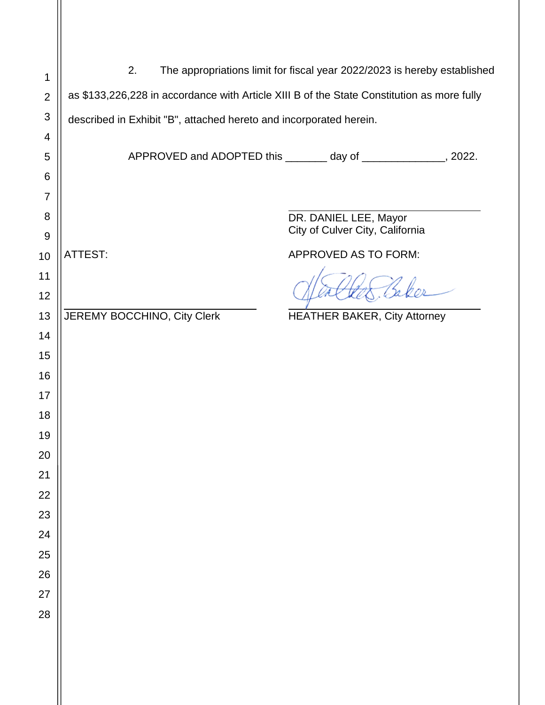| 1              | 2.<br>The appropriations limit for fiscal year 2022/2023 is hereby established |                                                                                            |                             |                                                                 |  |  |
|----------------|--------------------------------------------------------------------------------|--------------------------------------------------------------------------------------------|-----------------------------|-----------------------------------------------------------------|--|--|
| $\overline{2}$ |                                                                                | as \$133,226,228 in accordance with Article XIII B of the State Constitution as more fully |                             |                                                                 |  |  |
| $\mathfrak{S}$ |                                                                                | described in Exhibit "B", attached hereto and incorporated herein.                         |                             |                                                                 |  |  |
| 4              |                                                                                |                                                                                            |                             |                                                                 |  |  |
| 5              |                                                                                |                                                                                            |                             | APPROVED and ADOPTED this ________ day of ______________, 2022. |  |  |
| 6              |                                                                                |                                                                                            |                             |                                                                 |  |  |
| $\overline{7}$ |                                                                                |                                                                                            |                             |                                                                 |  |  |
| 8              |                                                                                |                                                                                            |                             | DR. DANIEL LEE, Mayor<br>City of Culver City, California        |  |  |
| $9\,$          |                                                                                |                                                                                            |                             |                                                                 |  |  |
| 10             | <b>ATTEST:</b>                                                                 |                                                                                            |                             | APPROVED AS TO FORM:                                            |  |  |
| 11             |                                                                                |                                                                                            |                             |                                                                 |  |  |
| 12             |                                                                                |                                                                                            |                             |                                                                 |  |  |
| 13             |                                                                                |                                                                                            | JEREMY BOCCHINO, City Clerk | <b>HEATHER BAKER, City Attorney</b>                             |  |  |
| 14             |                                                                                |                                                                                            |                             |                                                                 |  |  |
| 15             |                                                                                |                                                                                            |                             |                                                                 |  |  |
| 16             |                                                                                |                                                                                            |                             |                                                                 |  |  |
| 17<br>18       |                                                                                |                                                                                            |                             |                                                                 |  |  |
| 19             |                                                                                |                                                                                            |                             |                                                                 |  |  |
| 20             |                                                                                |                                                                                            |                             |                                                                 |  |  |
| 21             |                                                                                |                                                                                            |                             |                                                                 |  |  |
| 22             |                                                                                |                                                                                            |                             |                                                                 |  |  |
| 23             |                                                                                |                                                                                            |                             |                                                                 |  |  |
| 24             |                                                                                |                                                                                            |                             |                                                                 |  |  |
| 25             |                                                                                |                                                                                            |                             |                                                                 |  |  |
| 26             |                                                                                |                                                                                            |                             |                                                                 |  |  |
| 27             |                                                                                |                                                                                            |                             |                                                                 |  |  |
| 28             |                                                                                |                                                                                            |                             |                                                                 |  |  |
|                |                                                                                |                                                                                            |                             |                                                                 |  |  |
|                |                                                                                |                                                                                            |                             |                                                                 |  |  |
|                |                                                                                |                                                                                            |                             |                                                                 |  |  |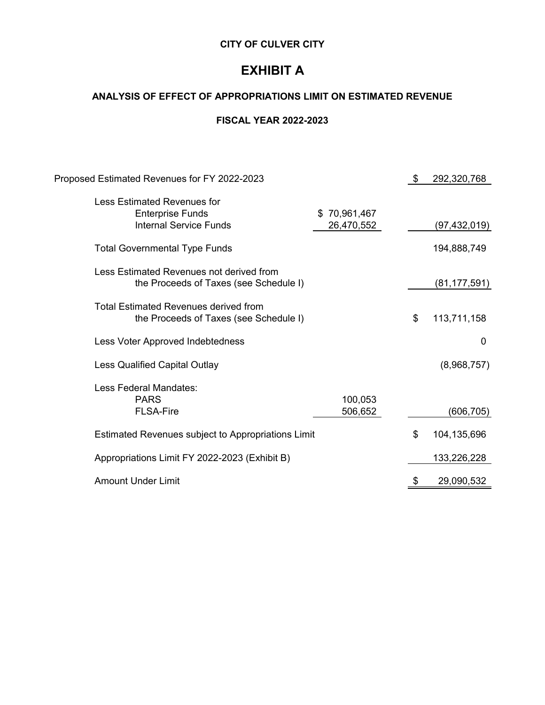## **EXHIBIT A**

### **ANALYSIS OF EFFECT OF APPROPRIATIONS LIMIT ON ESTIMATED REVENUE**

#### **FISCAL YEAR 2022-2023**

| Proposed Estimated Revenues for FY 2022-2023                                                   |                            | \$<br>292,320,768 |
|------------------------------------------------------------------------------------------------|----------------------------|-------------------|
| <b>Less Estimated Revenues for</b><br><b>Enterprise Funds</b><br><b>Internal Service Funds</b> | \$70,961,467<br>26,470,552 | (97,432,019)      |
| <b>Total Governmental Type Funds</b>                                                           |                            | 194,888,749       |
| Less Estimated Revenues not derived from<br>the Proceeds of Taxes (see Schedule I)             |                            | (81, 177, 591)    |
| <b>Total Estimated Revenues derived from</b><br>the Proceeds of Taxes (see Schedule I)         |                            | \$<br>113,711,158 |
| Less Voter Approved Indebtedness                                                               |                            | 0                 |
| <b>Less Qualified Capital Outlay</b>                                                           |                            | (8,968,757)       |
| Less Federal Mandates:<br><b>PARS</b><br><b>FLSA-Fire</b>                                      | 100,053<br>506,652         | (606,705)         |
| Estimated Revenues subject to Appropriations Limit                                             |                            | \$<br>104,135,696 |
| Appropriations Limit FY 2022-2023 (Exhibit B)                                                  |                            | 133,226,228       |
| <b>Amount Under Limit</b>                                                                      |                            | 29,090,532        |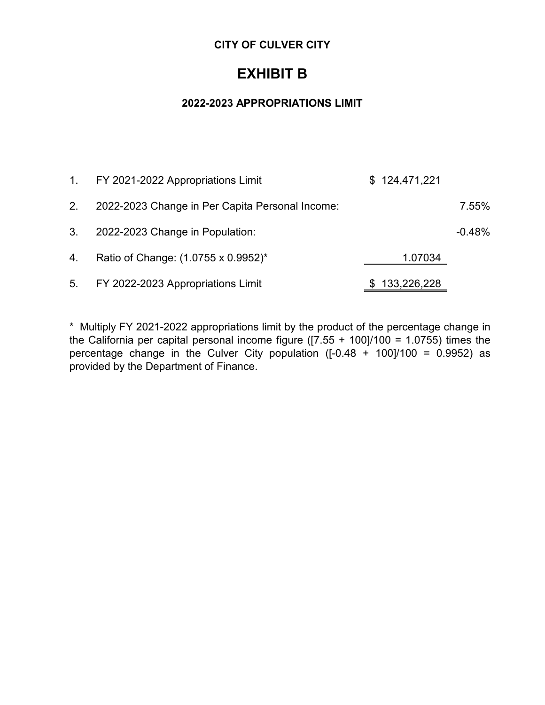## **EXHIBIT B**

#### **2022-2023 APPROPRIATIONS LIMIT**

|    | 1. FY 2021-2022 Appropriations Limit            | \$124,471,221 |          |
|----|-------------------------------------------------|---------------|----------|
| 2. | 2022-2023 Change in Per Capita Personal Income: |               | 7.55%    |
| 3. | 2022-2023 Change in Population:                 |               | $-0.48%$ |
| 4. | Ratio of Change: (1.0755 x 0.9952)*             | 1.07034       |          |
|    | 5. FY 2022-2023 Appropriations Limit            | \$133,226,228 |          |

\* Multiply FY 2021-2022 appropriations limit by the product of the percentage change in the California per capital personal income figure ( $[7.55 + 100]/100 = 1.0755$ ) times the percentage change in the Culver City population ( $[-0.48 + 100]/100 = 0.9952$ ) as provided by the Department of Finance.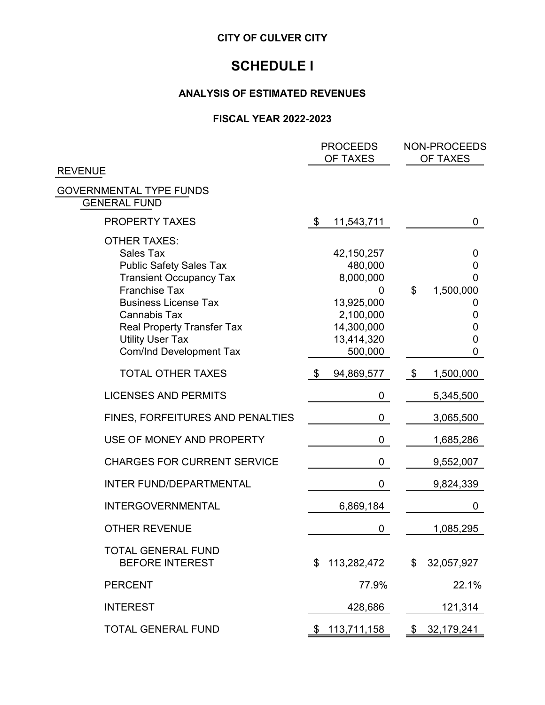## **SCHEDULE I**

#### **ANALYSIS OF ESTIMATED REVENUES**

#### **FISCAL YEAR 2022-2023**

|                                                                                                                                                                                                                                                                                             | <b>PROCEEDS</b><br>OF TAXES                                                                                 | NON-PROCEEDS<br><b>OF TAXES</b>                         |
|---------------------------------------------------------------------------------------------------------------------------------------------------------------------------------------------------------------------------------------------------------------------------------------------|-------------------------------------------------------------------------------------------------------------|---------------------------------------------------------|
| <b>REVENUE</b>                                                                                                                                                                                                                                                                              |                                                                                                             |                                                         |
| <b>GOVERNMENTAL TYPE FUNDS</b><br><b>GENERAL FUND</b>                                                                                                                                                                                                                                       |                                                                                                             |                                                         |
| PROPERTY TAXES                                                                                                                                                                                                                                                                              | 11,543,711<br>\$                                                                                            | 0                                                       |
| <b>OTHER TAXES:</b><br><b>Sales Tax</b><br><b>Public Safety Sales Tax</b><br><b>Transient Occupancy Tax</b><br><b>Franchise Tax</b><br><b>Business License Tax</b><br><b>Cannabis Tax</b><br><b>Real Property Transfer Tax</b><br><b>Utility User Tax</b><br><b>Com/Ind Development Tax</b> | 42, 150, 257<br>480,000<br>8,000,000<br>0<br>13,925,000<br>2,100,000<br>14,300,000<br>13,414,320<br>500,000 | 0<br>0<br>0<br>\$<br>1,500,000<br>O<br>0<br>0<br>0<br>0 |
| <b>TOTAL OTHER TAXES</b>                                                                                                                                                                                                                                                                    | \$<br>94,869,577                                                                                            | \$<br>1,500,000                                         |
| <b>LICENSES AND PERMITS</b>                                                                                                                                                                                                                                                                 | 0                                                                                                           | 5,345,500                                               |
| FINES, FORFEITURES AND PENALTIES                                                                                                                                                                                                                                                            | 0                                                                                                           | 3,065,500                                               |
| USE OF MONEY AND PROPERTY                                                                                                                                                                                                                                                                   | 0                                                                                                           | 1,685,286                                               |
| <b>CHARGES FOR CURRENT SERVICE</b>                                                                                                                                                                                                                                                          | 0                                                                                                           | 9,552,007                                               |
| <b>INTER FUND/DEPARTMENTAL</b>                                                                                                                                                                                                                                                              | 0                                                                                                           | 9,824,339                                               |
| <b>INTERGOVERNMENTAL</b>                                                                                                                                                                                                                                                                    | 6,869,184                                                                                                   | 0                                                       |
| <b>OTHER REVENUE</b>                                                                                                                                                                                                                                                                        | 0                                                                                                           | 1,085,295                                               |
| <b>TOTAL GENERAL FUND</b><br><b>BEFORE INTEREST</b>                                                                                                                                                                                                                                         | \$<br>113,282,472                                                                                           | \$<br>32,057,927                                        |
| <b>PERCENT</b>                                                                                                                                                                                                                                                                              | 77.9%                                                                                                       | 22.1%                                                   |
| <b>INTEREST</b>                                                                                                                                                                                                                                                                             | 428,686                                                                                                     | 121,314                                                 |
| <b>TOTAL GENERAL FUND</b>                                                                                                                                                                                                                                                                   | 113,711,158<br>\$                                                                                           | 32,179,241<br>\$                                        |